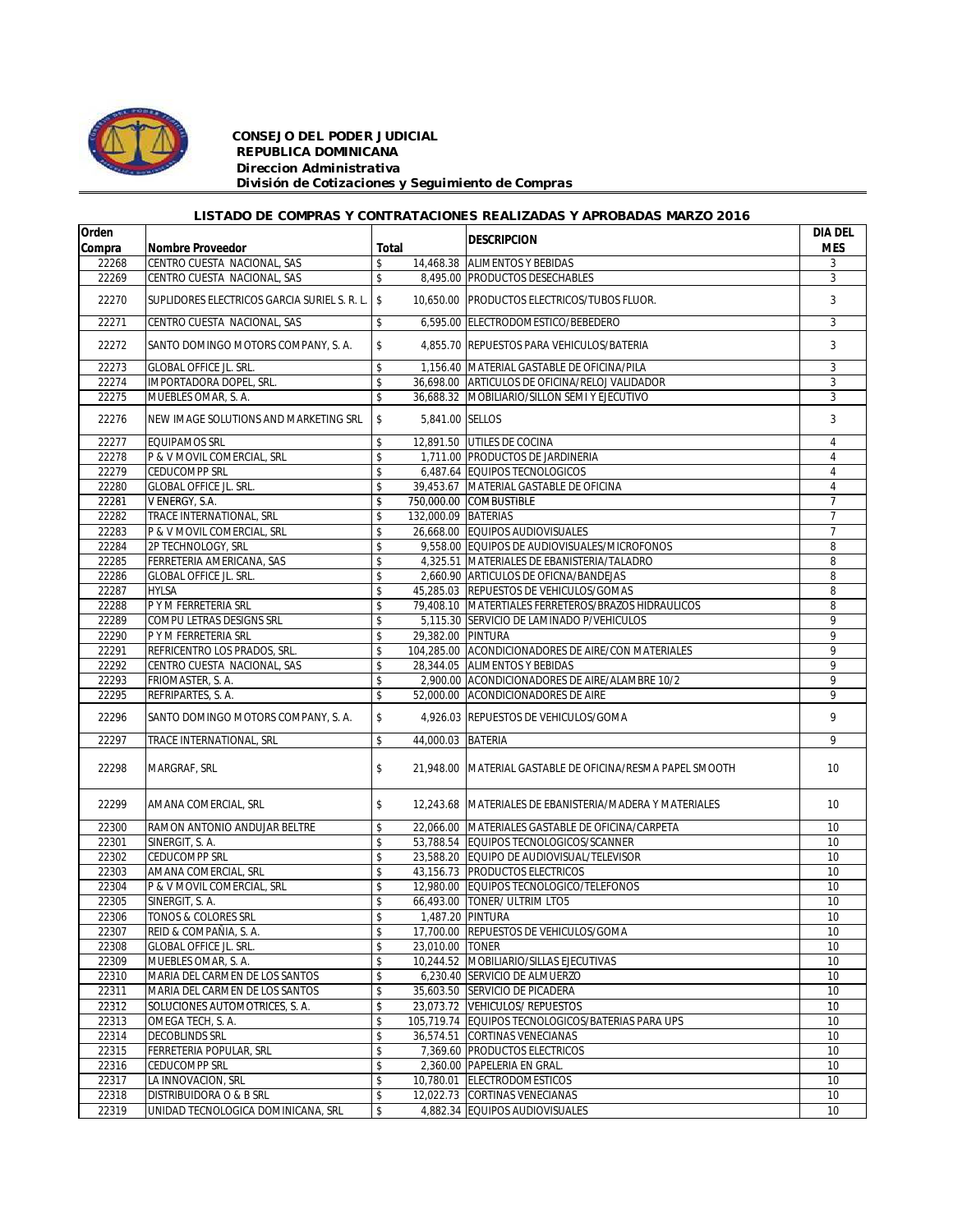

## *CONSEJO DEL PODER JUDICIAL REPUBLICA DOMINICANA Direccion Administrativa División de Cotizaciones y Seguimiento de Compras*

## *LISTADO DE COMPRAS Y CONTRATACIONES REALIZADAS Y APROBADAS MARZO 2016*

| Orden  |                                                |       |                     | <b>DESCRIPCION</b>                                                                               | <b>DIA DEL</b> |
|--------|------------------------------------------------|-------|---------------------|--------------------------------------------------------------------------------------------------|----------------|
| Compra | <b>Nombre Proveedor</b>                        | Total |                     |                                                                                                  | <b>MES</b>     |
| 22268  | CENTRO CUESTA NACIONAL, SAS                    | \$    |                     | 14,468.38 ALIMENTOS Y BEBIDAS                                                                    | 3              |
| 22269  | CENTRO CUESTA NACIONAL, SAS                    | \$    |                     | 8,495.00 PRODUCTOS DESECHABLES                                                                   | 3              |
| 22270  | SUPLIDORES ELECTRICOS GARCIA SURIEL S. R. L. S |       |                     | 10,650.00 PRODUCTOS ELECTRICOS/TUBOS FLUOR.                                                      | 3              |
| 22271  | CENTRO CUESTA NACIONAL, SAS                    | \$    |                     | 6.595.00 ELECTRODOMESTICO/BEBEDERO                                                               | 3              |
| 22272  | SANTO DOMINGO MOTORS COMPANY, S. A.            | \$    |                     | 4,855.70 REPUESTOS PARA VEHICULOS/BATERIA                                                        | 3              |
| 22273  | <b>GLOBAL OFFICE JL. SRL.</b>                  | \$    |                     | 1,156.40 MATERIAL GASTABLE DE OFICINA/PILA                                                       | 3              |
| 22274  | <b>IMPORTADORA DOPEL, SRL.</b>                 | \$    |                     | 36,698.00 ARTICULOS DE OFICINA/RELOJ VALIDADOR                                                   | 3              |
| 22275  | MUEBLES OMAR, S. A.                            | \$    |                     | 36.688.32 MOBILIARIO/SILLON SEMI Y EJECUTIVO                                                     | 3              |
| 22276  | NEW IMAGE SOLUTIONS AND MARKETING SRL          | \$    | 5,841.00 SELLOS     |                                                                                                  | 3              |
| 22277  | <b>EQUIPAMOS SRL</b>                           | \$    |                     | 12,891.50 UTILES DE COCINA                                                                       | $\overline{4}$ |
| 22278  | P & V MOVIL COMERCIAL, SRL                     | \$    |                     | 1,711.00 PRODUCTOS DE JARDINERIA                                                                 | 4              |
| 22279  | <b>CEDUCOMPP SRL</b>                           | \$    |                     | 6,487.64 EQUIPOS TECNOLOGICOS                                                                    | 4              |
| 22280  | <b>GLOBAL OFFICE JL. SRL.</b>                  | \$    |                     | 39,453.67 MATERIAL GASTABLE DE OFICINA                                                           | $\overline{4}$ |
| 22281  | V ENERGY, S.A.                                 | \$    |                     | 750,000.00 COMBUSTIBLE                                                                           | $\overline{1}$ |
| 22282  | TRACE INTERNATIONAL, SRL                       | \$    | 132,000.09 BATERIAS |                                                                                                  | $\overline{7}$ |
| 22283  | P & V MOVIL COMERCIAL, SRL                     | \$    |                     | 26,668.00 EQUIPOS AUDIOVISUALES                                                                  | $\overline{7}$ |
| 22284  | 2P TECHNOLOGY, SRL                             | \$    |                     | 9,558.00 EQUIPOS DE AUDIOVISUALES/MICROFONOS                                                     | 8              |
| 22285  | FERRETERIA AMERICANA, SAS                      | \$    |                     | 4,325.51 MATERIALES DE EBANISTERIA/TALADRO                                                       | 8              |
| 22286  | <b>GLOBAL OFFICE JL. SRL.</b>                  | \$    |                     | 2,660.90 ARTICULOS DE OFICNA/BANDEJAS                                                            | 8              |
| 22287  | <b>HYLSA</b>                                   | \$    |                     | 45,285.03 REPUESTOS DE VEHICULOS/GOMAS                                                           | 8              |
|        | P Y M FERRETERIA SRL                           | \$    |                     |                                                                                                  | 8              |
| 22288  |                                                |       |                     | 79,408.10 MATERTIALES FERRETEROS/BRAZOS HIDRAULICOS<br>5.115.30 SERVICIO DE LAMINADO P/VEHICULOS | 9              |
| 22289  | <b>COMPU LETRAS DESIGNS SRL</b>                | \$    |                     |                                                                                                  |                |
| 22290  | P Y M FERRETERIA SRL                           | \$    | 29,382.00 PINTURA   |                                                                                                  | $\overline{9}$ |
| 22291  | REFRICENTRO LOS PRADOS, SRL.                   | \$    |                     | 104,285.00 ACONDICIONADORES DE AIRE/CON MATERIALES                                               | 9              |
| 22292  | CENTRO CUESTA NACIONAL, SAS                    | \$    |                     | 28,344.05 ALIMENTOS Y BEBIDAS                                                                    | 9              |
| 22293  | FRIOMASTER, S. A.                              | \$    |                     | 2,900.00 ACONDICIONADORES DE AIRE/ALAMBRE 10/2                                                   | 9              |
| 22295  | REFRIPARTES, S.A.                              | \$    |                     | 52,000.00 ACONDICIONADORES DE AIRE                                                               | 9              |
| 22296  | SANTO DOMINGO MOTORS COMPANY, S. A.            | \$    |                     | 4,926.03 REPUESTOS DE VEHICULOS/GOMA                                                             | 9              |
| 22297  | TRACE INTERNATIONAL, SRL                       | \$    | 44,000.03           | <b>BATERIA</b>                                                                                   | 9              |
| 22298  | MARGRAF, SRL                                   | \$    | 21,948.00           | MATERIAL GASTABLE DE OFICINA/RESMA PAPEL SMOOTH                                                  | 10             |
| 22299  | AMANA COMERCIAL, SRL                           | \$    |                     | 12,243.68 MATERIALES DE EBANISTERIA/MADERA Y MATERIALES                                          | 10             |
| 22300  | RAMON ANTONIO ANDUJAR BELTRE                   | \$    |                     | 22,066.00 MATERIALES GASTABLE DE OFICINA/CARPETA                                                 | 10             |
| 22301  | SINERGIT, S. A.                                | \$    |                     | 53,788.54 EQUIPOS TECNOLOGICOS/SCANNER                                                           | 10             |
| 22302  | <b>CEDUCOMPP SRL</b>                           | \$    |                     | 23,588.20 EQUIPO DE AUDIOVISUAL/TELEVISOR                                                        | 10             |
| 22303  | AMANA COMERCIAL, SRL                           | \$    |                     | 43,156.73 PRODUCTOS ELECTRICOS                                                                   | 10             |
| 22304  | P & V MOVIL COMERCIAL, SRL                     | \$    |                     | 12,980.00 EQUIPOS TECNOLOGICO/TELEFONOS                                                          | 10             |
| 22305  | SINERGIT, S. A.                                | \$    |                     | 66,493.00 TONER/ ULTRIM LTO5                                                                     | 10             |
| 22306  | TONOS & COLORES SRL                            | \$    |                     | 1,487.20 PINTURA                                                                                 | 10             |
| 22307  | REID & COMPAÑIA, S. A.                         | \$    |                     | 17,700.00 REPUESTOS DE VEHICULOS/GOMA                                                            | 10             |
| 22308  | <b>GLOBAL OFFICE JL. SRL.</b>                  | \$    | 23,010.00 TONER     |                                                                                                  | 10             |
| 22309  | MUEBLES OMAR, S. A.                            | \$    |                     | 10,244.52 MOBILIARIO/SILLAS EJECUTIVAS                                                           | 10             |
| 22310  | MARIA DEL CARMEN DE LOS SANTOS                 |       |                     | 6,230.40 SERVICIO DE ALMUERZO                                                                    |                |
|        |                                                | \$    |                     |                                                                                                  | 10             |
| 22311  | MARIA DEL CARMEN DE LOS SANTOS                 | \$    |                     | 35,603.50 SERVICIO DE PICADERA                                                                   | 10             |
| 22312  | SOLUCIONES AUTOMOTRICES, S. A.                 | \$    |                     | 23,073.72 VEHICULOS/ REPUESTOS                                                                   | 10             |
| 22313  | OMEGA TECH, S. A.                              | \$    |                     | 105,719.74 EQUIPOS TECNOLOGICOS/BATERIAS PARA UPS                                                | 10             |
| 22314  | <b>DECOBLINDS SRL</b>                          | \$    |                     | 36,574.51 CORTINAS VENECIANAS                                                                    | 10             |
| 22315  | FERRETERIA POPULAR, SRL                        | \$    |                     | 7,369.60 PRODUCTOS ELECTRICOS                                                                    | 10             |
| 22316  | <b>CEDUCOMPP SRL</b>                           | \$    |                     | 2,360.00 PAPELERIA EN GRAL.                                                                      | 10             |
| 22317  | LA INNOVACION, SRL                             | \$    |                     | 10,780.01 ELECTRODOMESTICOS                                                                      | 10             |
| 22318  | DISTRIBUIDORA O & B SRL                        | \$    |                     | 12,022.73 CORTINAS VENECIANAS                                                                    | 10             |
| 22319  | UNIDAD TECNOLOGICA DOMINICANA, SRL             | \$    |                     | 4,882.34 EQUIPOS AUDIOVISUALES                                                                   | 10             |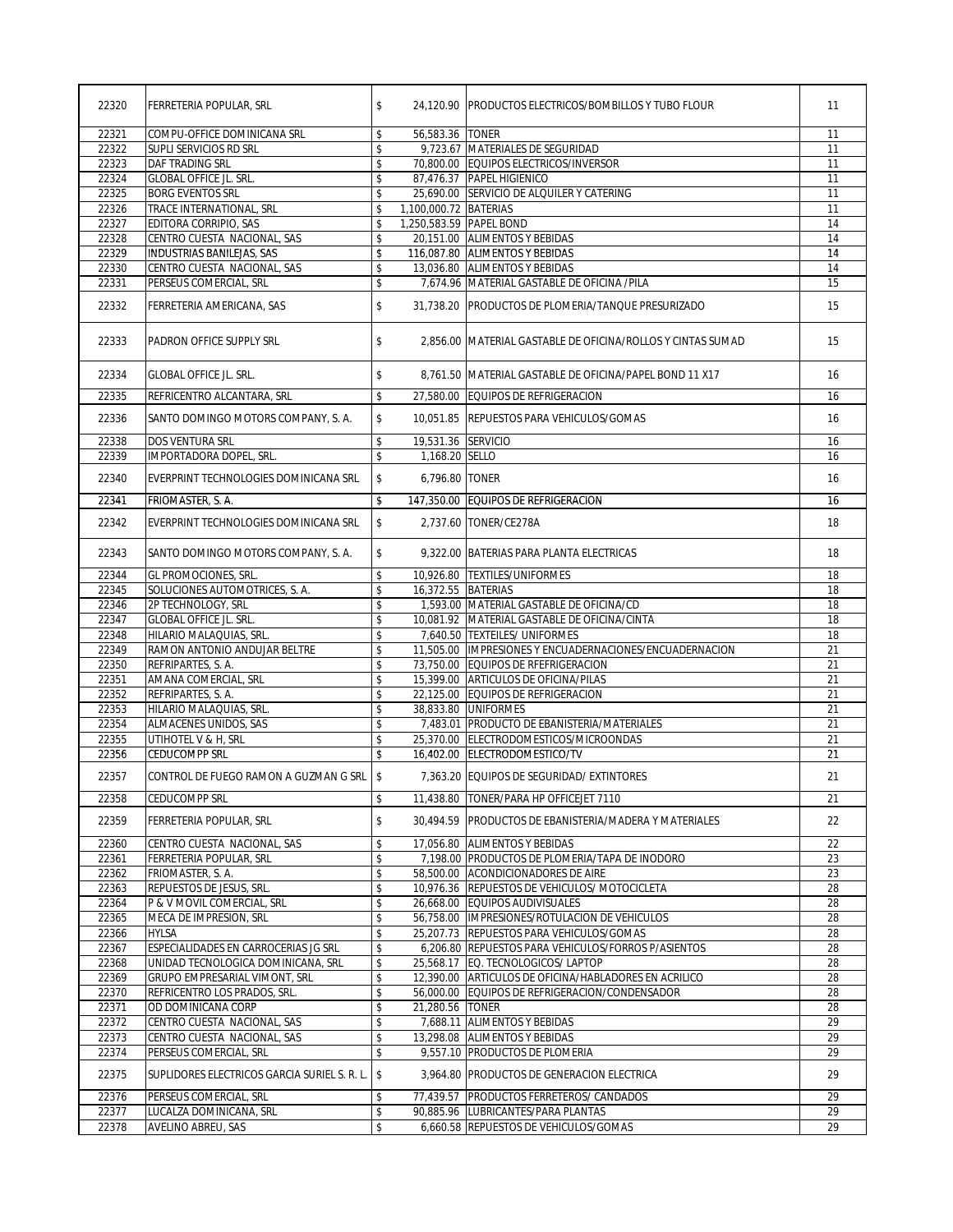| 22320          | FERRETERIA POPULAR, SRL                                             | \$       |                         | 24,120.90 PRODUCTOS ELECTRICOS/BOMBILLOS Y TUBO FLOUR                                          | 11              |
|----------------|---------------------------------------------------------------------|----------|-------------------------|------------------------------------------------------------------------------------------------|-----------------|
| 22321          | COMPU-OFFICE DOMINICANA SRL                                         | \$       | 56,583.36 TONER         |                                                                                                | 11              |
| 22322          | SUPLI SERVICIOS RD SRL                                              | \$       |                         | 9,723.67 MATERIALES DE SEGURIDAD                                                               | 11              |
| 22323          | DAF TRADING SRL                                                     | \$       |                         | 70.800.00 EQUIPOS ELECTRICOS/INVERSOR                                                          | $\overline{11}$ |
| 22324          | <b>GLOBAL OFFICE JL. SRL.</b>                                       | \$       |                         | 87,476.37 PAPEL HIGIENICO                                                                      | 11              |
| 22325          | <b>BORG EVENTOS SRL</b>                                             | \$       |                         | 25,690.00 SERVICIO DE ALQUILER Y CATERING                                                      | $\overline{11}$ |
| 22326          | TRACE INTERNATIONAL, SRL                                            | \$       | 1,100,000.72 BATERIAS   |                                                                                                | 11              |
| 22327          | EDITORA CORRIPIO, SAS                                               | \$       | 1,250,583.59 PAPEL BOND |                                                                                                | 14              |
| 22328          | CENTRO CUESTA NACIONAL, SAS                                         | \$       |                         | 20,151.00 ALIMENTOS Y BEBIDAS                                                                  | 14              |
| 22329          | <b>INDUSTRIAS BANILEJAS, SAS</b>                                    | \$       |                         | 116,087.80 ALIMENTOS Y BEBIDAS                                                                 | 14              |
| 22330          | CENTRO CUESTA NACIONAL, SAS                                         | \$       |                         | 13,036.80 ALIMENTOS Y BEBIDAS                                                                  | 14              |
| 22331          | PERSEUS COMERCIAL, SRL                                              | \$       |                         | 7,674.96 MATERIAL GASTABLE DE OFICINA /PILA                                                    | 15              |
| 22332          | FERRETERIA AMERICANA, SAS                                           | \$       |                         | 31.738.20 PRODUCTOS DE PLOMERIA/TANQUE PRESURIZADO                                             | 15              |
| 22333          | PADRON OFFICE SUPPLY SRL                                            | \$       |                         | 2,856.00 MATERIAL GASTABLE DE OFICINA/ROLLOS Y CINTAS SUMAD                                    | 15              |
| 22334          | <b>GLOBAL OFFICE JL. SRL.</b>                                       | \$       |                         | 8,761.50 MATERIAL GASTABLE DE OFICINA/PAPEL BOND 11 X17                                        | 16              |
| 22335          | REFRICENTRO ALCANTARA, SRL                                          | \$       |                         | 27,580.00 EQUIPOS DE REFRIGERACION                                                             | 16              |
| 22336          | SANTO DOMINGO MOTORS COMPANY, S. A.                                 | \$       |                         | 10.051.85 REPUESTOS PARA VEHICULOS/GOMAS                                                       | 16              |
| 22338          | <b>DOS VENTURA SRL</b>                                              | \$       | 19,531.36 SERVICIO      |                                                                                                | 16              |
| 22339          | IMPORTADORA DOPEL, SRL.                                             | \$       | 1,168.20 SELLO          |                                                                                                | 16              |
| 22340          | EVERPRINT TECHNOLOGIES DOMINICANA SRL                               | \$       | 6,796.80 TONER          |                                                                                                | 16              |
| 22341          | FRIOMASTER, S. A.                                                   | \$       |                         | 147,350.00 EQUIPOS DE REFRIGERACION                                                            | 16              |
| 22342          | EVERPRINT TECHNOLOGIES DOMINICANA SRL                               | \$       |                         | 2,737.60 TONER/CE278A                                                                          | 18              |
| 22343          | SANTO DOMINGO MOTORS COMPANY, S. A.                                 | \$       |                         | 9,322.00 BATERIAS PARA PLANTA ELECTRICAS                                                       | 18              |
| 22344          | GL PROMOCIONES, SRL.                                                | \$       |                         | 10,926.80 TEXTILES/UNIFORMES                                                                   | 18              |
| 22345          | SOLUCIONES AUTOMOTRICES, S. A.                                      | \$       | 16,372.55 BATERIAS      |                                                                                                | 18              |
| 22346          | 2P TECHNOLOGY, SRL                                                  | \$       |                         | 1,593.00 MATERIAL GASTABLE DE OFICINA/CD                                                       | 18              |
| 22347          | <b>GLOBAL OFFICE JL. SRL.</b>                                       | \$       |                         | 10,081.92 MATERIAL GASTABLE DE OFICINA/CINTA                                                   | 18              |
| 22348          | HILARIO MALAQUIAS, SRL.                                             | \$       |                         | 7,640.50 TEXTEILES/ UNIFORMES                                                                  | 18              |
| 22349<br>22350 | RAMON ANTONIO ANDUJAR BELTRE<br>REFRIPARTES, S. A.                  | \$<br>\$ |                         | 11,505.00 IMPRESIONES Y ENCUADERNACIONES/ENCUADERNACION<br>73,750.00 EQUIPOS DE RFEFRIGERACION | 21<br>21        |
| 22351          | AMANA COMERCIAL, SRL                                                | \$       |                         | 15,399.00 ARTICULOS DE OFICINA/PILAS                                                           | $\overline{21}$ |
| 22352          | REFRIPARTES, S.A.                                                   | \$       |                         | 22,125.00 EQUIPOS DE REFRIGERACION                                                             | 21              |
| 22353          | HILARIO MALAQUIAS, SRL.                                             | \$       |                         | 38,833.80 UNIFORMES                                                                            | 21              |
| 22354          | <b>ALMACENES UNIDOS, SAS</b>                                        | \$       |                         | 7,483.01 PRODUCTO DE EBANISTERIA/MATERIALES                                                    | 21              |
| 22355          | UTIHOTEL V & H, SRL                                                 | \$       |                         | 25,370.00 ELECTRODOMESTICOS/MICROONDAS                                                         | 21              |
| 22356          | <b>CEDUCOMPP SRL</b>                                                | \$       |                         | 16.402.00 ELECTRODOMESTICO/TV                                                                  | $\overline{21}$ |
| 22357          | CONTROL DE FUEGO RAMON A GUZMAN G SRL \$                            |          |                         | 7,363.20 EQUIPOS DE SEGURIDAD/ EXTINTORES                                                      | 21              |
| 22358          | <b>CEDUCOMPP SRL</b>                                                | \$       | 11,438.80               | TONER/PARA HP OFFICEJET 7110                                                                   | 21              |
| 22359          | FERRETERIA POPULAR, SRL                                             | \$       |                         | 30,494.59 PRODUCTOS DE EBANISTERIA/MADERA Y MATERIALES                                         | 22              |
| 22360          | CENTRO CUESTA NACIONAL, SAS                                         | \$       |                         | 17,056.80 ALIMENTOS Y BEBIDAS                                                                  | 22              |
| 22361          | FERRETERIA POPULAR, SRL                                             | \$       |                         | 7,198.00 PRODUCTOS DE PLOMERIA/TAPA DE INODORO                                                 | 23              |
| 22362          | FRIOMASTER, S. A.                                                   | \$       |                         | 58,500.00 ACONDICIONADORES DE AIRE                                                             | 23              |
| 22363          | REPUESTOS DE JESUS, SRL                                             | \$       |                         | 10,976.36 REPUESTOS DE VEHICULOS/ MOTOCICLETA                                                  | 28              |
| 22364          | P & V MOVIL COMERCIAL, SRL                                          | \$       |                         | 26,668.00 EQUIPOS AUDIVISUALES                                                                 | 28              |
| 22365          | MECA DE IMPRESION, SRL                                              | \$       |                         | 56,758.00 IMPRESIONES/ROTULACION DE VEHICULOS                                                  | 28              |
| 22366          | HYLSA                                                               | \$       |                         | 25,207.73 REPUESTOS PARA VEHICULOS/GOMAS                                                       | 28              |
| 22367          | ESPECIALIDADES EN CARROCERIAS JG SRL                                | \$       |                         | 6,206.80 REPUESTOS PARA VEHICULOS/FORROS P/ASIENTOS                                            | 28              |
| 22368<br>22369 | UNIDAD TECNOLOGICA DOMINICANA, SRL<br>GRUPO EMPRESARIAL VIMONT, SRL | \$<br>\$ |                         | 25,568.17 EQ. TECNOLOGICOS/ LAPTOP<br>12.390.00 ARTICULOS DE OFICINA/HABLADORES EN ACRILICO    | 28<br>28        |
| 22370          | REFRICENTRO LOS PRADOS, SRL.                                        | \$       |                         | 56,000.00 EQUIPOS DE REFRIGERACION/CONDENSADOR                                                 | 28              |
| 22371          | OD DOMINICANA CORP                                                  | \$       | 21,280.56   TONER       |                                                                                                | 28              |
| 22372          | CENTRO CUESTA NACIONAL, SAS                                         | \$       |                         | 7,688.11 ALIMENTOS Y BEBIDAS                                                                   | 29              |
| 22373          | CENTRO CUESTA NACIONAL, SAS                                         | \$       |                         | 13,298.08 ALIMENTOS Y BEBIDAS                                                                  | 29              |
| 22374          | PERSEUS COMERCIAL, SRL                                              | \$       |                         | 9,557.10 PRODUCTOS DE PLOMERIA                                                                 | 29              |
| 22375          | SUPLIDORES ELECTRICOS GARCIA SURIEL S. R. L.                        | \$       |                         | 3,964.80 PRODUCTOS DE GENERACION ELECTRICA                                                     | 29              |
| 22376          | PERSEUS COMERCIAL, SRL                                              | \$       |                         | 77,439.57 PRODUCTOS FERRETEROS/ CANDADOS                                                       | 29              |
| 22377          | LUCALZA DOMINICANA, SRL                                             | \$       |                         | 90,885.96 LUBRICANTES/PARA PLANTAS                                                             | 29              |
| 22378          | AVELINO ABREU, SAS                                                  | \$       |                         | 6,660.58 REPUESTOS DE VEHICULOS/GOMAS                                                          | 29              |